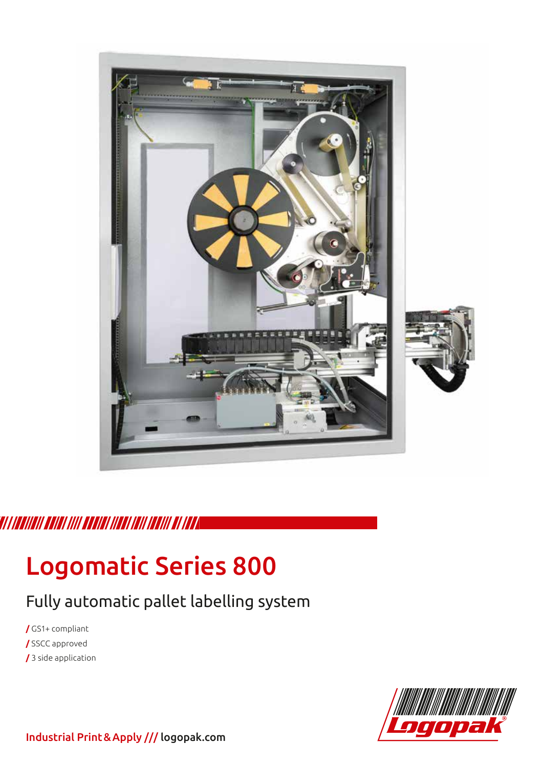

## TI I ISANGII SANAI IIII SAGUAI IIISAI IIII SAGUAI SA

# Logomatic Series 800

# Fully automatic pallet labelling system

**/** GS1+ compliant **/** SSCC approved **/** 3 side application



Industrial Print&Apply /// logopak.com